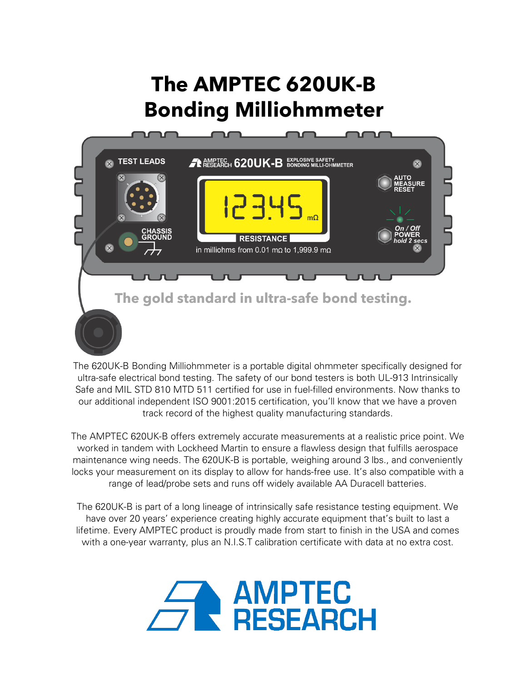# **The AMPTEC 620UK-B Bonding Milliohmmeter**



The 620UK-B Bonding Milliohmmeter is a portable digital ohmmeter specifically designed for ultra-safe electrical bond testing. The safety of our bond testers is both UL-913 Intrinsically Safe and MIL STD 810 MTD 511 certified for use in fuel-filled environments. Now thanks to our additional independent ISO 9001:2015 certification, you'll know that we have a proven track record of the highest quality manufacturing standards.

The AMPTEC 620UK-B offers extremely accurate measurements at a realistic price point. We worked in tandem with Lockheed Martin to ensure a flawless design that fulfills aerospace maintenance wing needs. The 620UK-B is portable, weighing around 3 lbs., and conveniently locks your measurement on its display to allow for hands-free use. It's also compatible with a range of lead/probe sets and runs off widely available AA Duracell batteries.

The 620UK-B is part of a long lineage of intrinsically safe resistance testing equipment. We have over 20 years' experience creating highly accurate equipment that's built to last a lifetime. Every AMPTEC product is proudly made from start to finish in the USA and comes with a one-year warranty, plus an N.I.S.T calibration certificate with data at no extra cost.

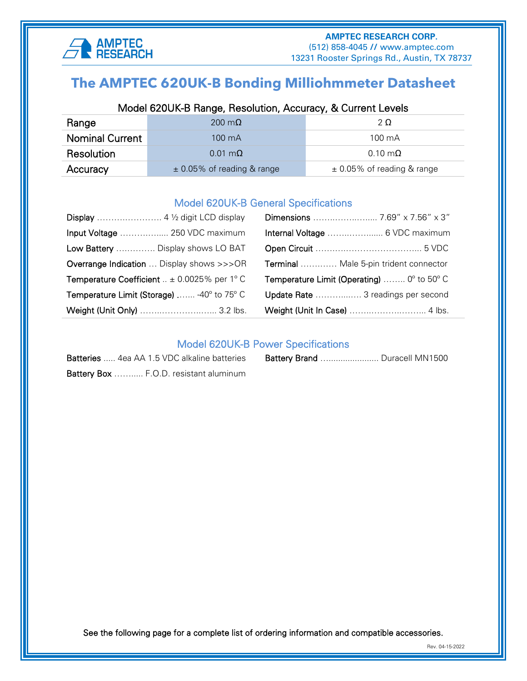

## ׅׅ֞֘֝֬֝֬֝ **The AMPTEC 620UK-B Bonding Milliohmmeter Datasheet**

## Model 620UK-B Range, Resolution, Accuracy, & Current Levels

| Range                                      | 200 m $\Omega$         | 2Ω                             |  |
|--------------------------------------------|------------------------|--------------------------------|--|
| <b>Nominal Current</b><br>$100 \text{ mA}$ |                        | $100 \text{ mA}$               |  |
| Resolution                                 | $0.01 \text{ m}\Omega$ | $0.10 \text{ m}\Omega$         |  |
| $\pm$ 0.05% of reading & range<br>Accuracy |                        | $\pm$ 0.05% of reading & range |  |

#### Model 620UK-B General Specifications

| Input Voltage  250 VDC maximum                                 |                                                           |  |
|----------------------------------------------------------------|-----------------------------------------------------------|--|
| Low Battery  Display shows LO BAT                              |                                                           |  |
| <b>Overrange Indication</b> Display shows >>>OR                | Terminal  Male 5-pin trident connector                    |  |
| <b>Temperature Coefficient</b> $\therefore$ ± 0.0025% per 1° C | <b>Temperature Limit (Operating)</b> $0^{\circ}$ to 50° C |  |
| Temperature Limit (Storage)  -40° to 75° C                     | Update Rate  3 readings per second                        |  |
| Weight (Unit Only)  3.2 lbs.                                   |                                                           |  |

### Model 620UK-B Power Specifications

| Batteries  4ea AA 1.5 VDC alkaline batteries |
|----------------------------------------------|
| Battery Box  F.O.D. resistant aluminum       |

|  | <b>Batteries</b> 4ea AA 1.5 VDC alkaline batteries | <b>Battery Brand</b> Duracell MN1500 |
|--|----------------------------------------------------|--------------------------------------|
|  |                                                    |                                      |

See the following page for a complete list of ordering information and compatible accessories.